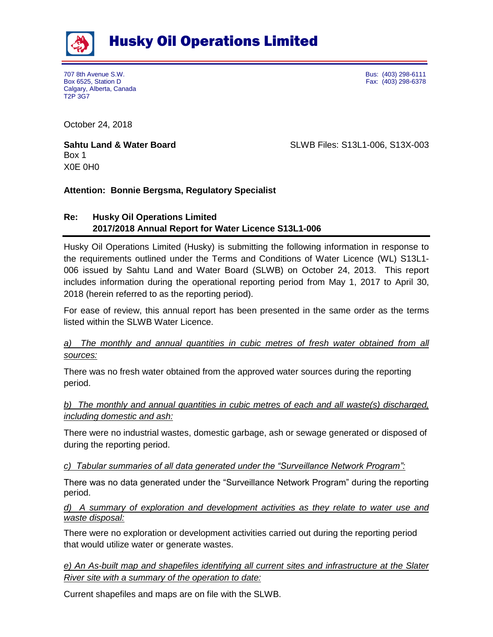

Husky Oil Operations Limited

707 8th Avenue S.W. Bus: (403) 298-6111 Box 6525, Station D Fax: (403) 298-6378 Calgary, Alberta, Canada T2P 3G7

October 24, 2018

Box 1 X0E 0H0

**Sahtu Land & Water Board** SLWB Files: S13L1-006, S13X-003

# **Attention: Bonnie Bergsma, Regulatory Specialist**

# **Re: Husky Oil Operations Limited 2017/2018 Annual Report for Water Licence S13L1-006**

Husky Oil Operations Limited (Husky) is submitting the following information in response to the requirements outlined under the Terms and Conditions of Water Licence (WL) S13L1- 006 issued by Sahtu Land and Water Board (SLWB) on October 24, 2013. This report includes information during the operational reporting period from May 1, 2017 to April 30, 2018 (herein referred to as the reporting period).

For ease of review, this annual report has been presented in the same order as the terms listed within the SLWB Water Licence.

# *a) The monthly and annual quantities in cubic metres of fresh water obtained from all sources:*

There was no fresh water obtained from the approved water sources during the reporting period.

# *b) The monthly and annual quantities in cubic metres of each and all waste(s) discharged, including domestic and ash:*

There were no industrial wastes, domestic garbage, ash or sewage generated or disposed of during the reporting period.

### *c) Tabular summaries of all data generated under the "Surveillance Network Program":*

There was no data generated under the "Surveillance Network Program" during the reporting period.

### *d) A summary of exploration and development activities as they relate to water use and waste disposal:*

There were no exploration or development activities carried out during the reporting period that would utilize water or generate wastes.

*e) An As-built map and shapefiles identifying all current sites and infrastructure at the Slater River site with a summary of the operation to date:*

Current shapefiles and maps are on file with the SLWB.